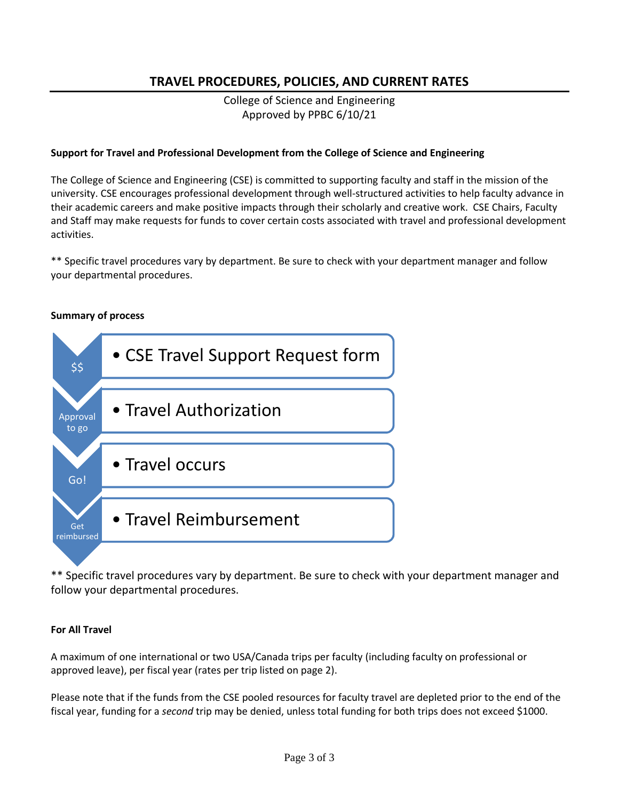# **TRAVEL PROCEDURES, POLICIES, AND CURRENT RATES**

College of Science and Engineering Approved by PPBC 6/10/21

## **Support for Travel and Professional Development from the College of Science and Engineering**

The College of Science and Engineering (CSE) is committed to supporting faculty and staff in the mission of the university. CSE encourages professional development through well-structured activities to help faculty advance in their academic careers and make positive impacts through their scholarly and creative work. CSE Chairs, Faculty and Staff may make requests for funds to cover certain costs associated with travel and professional development activities.

\*\* Specific travel procedures vary by department. Be sure to check with your department manager and follow your departmental procedures.

#### **Summary of process**



\*\* Specific travel procedures vary by department. Be sure to check with your department manager and follow your departmental procedures.

#### **For All Travel**

A maximum of one international or two USA/Canada trips per faculty (including faculty on professional or approved leave), per fiscal year (rates per trip listed on page 2).

Please note that if the funds from the CSE pooled resources for faculty travel are depleted prior to the end of the fiscal year, funding for a *second* trip may be denied, unless total funding for both trips does not exceed \$1000.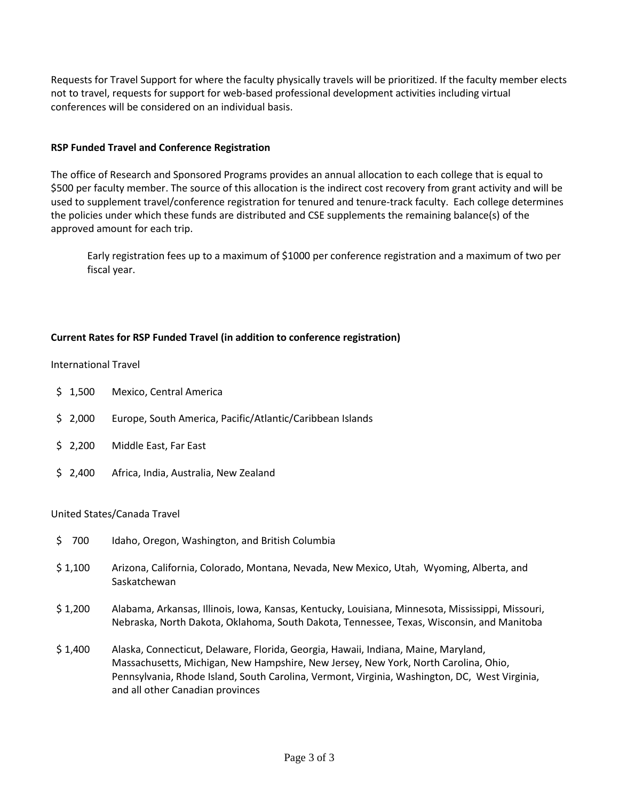Requests for Travel Support for where the faculty physically travels will be prioritized. If the faculty member elects not to travel, requests for support for web-based professional development activities including virtual conferences will be considered on an individual basis.

## **RSP Funded Travel and Conference Registration**

The office of Research and Sponsored Programs provides an annual allocation to each college that is equal to \$500 per faculty member. The source of this allocation is the indirect cost recovery from grant activity and will be used to supplement travel/conference registration for tenured and tenure-track faculty. Each college determines the policies under which these funds are distributed and CSE supplements the remaining balance(s) of the approved amount for each trip.

Early registration fees up to a maximum of \$1000 per conference registration and a maximum of two per fiscal year.

#### **Current Rates for RSP Funded Travel (in addition to conference registration)**

International Travel

- \$ 1,500 Mexico, Central America
- \$ 2,000 Europe, South America, Pacific/Atlantic/Caribbean Islands
- \$ 2,200 Middle East, Far East
- \$ 2,400 Africa, India, Australia, New Zealand

#### United States/Canada Travel

- \$ 700 Idaho, Oregon, Washington, and British Columbia
- \$ 1,100 Arizona, California, Colorado, Montana, Nevada, New Mexico, Utah, Wyoming, Alberta, and Saskatchewan
- \$ 1,200 Alabama, Arkansas, Illinois, Iowa, Kansas, Kentucky, Louisiana, Minnesota, Mississippi, Missouri, Nebraska, North Dakota, Oklahoma, South Dakota, Tennessee, Texas, Wisconsin, and Manitoba
- \$ 1,400 Alaska, Connecticut, Delaware, Florida, Georgia, Hawaii, Indiana, Maine, Maryland, Massachusetts, Michigan, New Hampshire, New Jersey, New York, North Carolina, Ohio, Pennsylvania, Rhode Island, South Carolina, Vermont, Virginia, Washington, DC, West Virginia, and all other Canadian provinces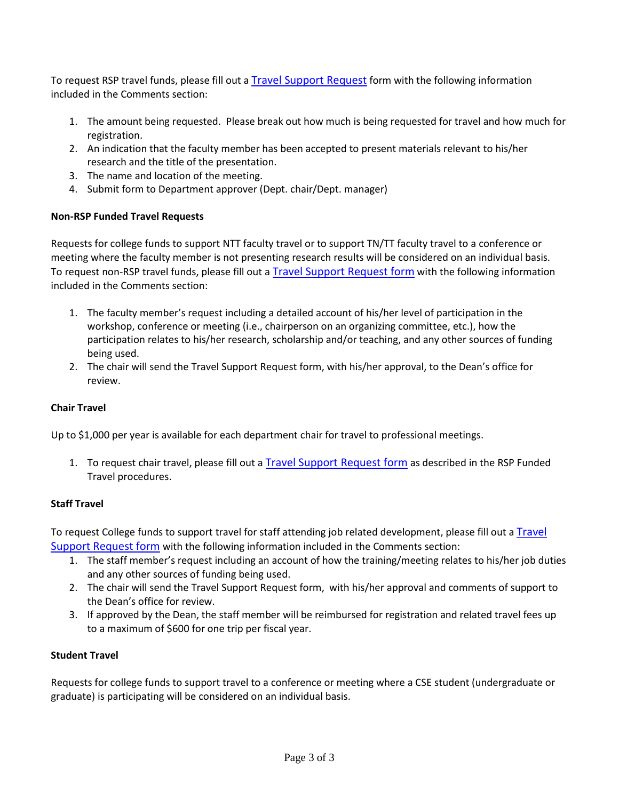To request RSP travel funds, please fill out a [Travel Support](about:blank) Request form with the following information included in the Comments section:

- 1. The amount being requested. Please break out how much is being requested for travel and how much for registration.
- 2. An indication that the faculty member has been accepted to present materials relevant to his/her research and the title of the presentation.
- 3. The name and location of the meeting.
- 4. Submit form to Department approver (Dept. chair/Dept. manager)

# **Non-RSP Funded Travel Requests**

Requests for college funds to support NTT faculty travel or to support TN/TT faculty travel to a conference or meeting where the faculty member is not presenting research results will be considered on an individual basis. To request non-RSP travel funds, please fill out a [Travel Support](about:blank) Request form with the following information included in the Comments section:

- 1. The faculty member's request including a detailed account of his/her level of participation in the workshop, conference or meeting (i.e., chairperson on an organizing committee, etc.), how the participation relates to his/her research, scholarship and/or teaching, and any other sources of funding being used.
- 2. The chair will send the Travel Support Request form, with his/her approval, to the Dean's office for review.

# **Chair Travel**

Up to \$1,000 per year is available for each department chair for travel to professional meetings.

1. To request chair travel, please fill out a [Travel Support](about:blank) Request form as described in the RSP Funded Travel procedures.

#### **Staff Travel**

To request College funds to support travel for staff attending job related development, please fill out a Travel [Support Request form](about:blank) with the following information included in the Comments section:

- 1. The staff member's request including an account of how the training/meeting relates to his/her job duties and any other sources of funding being used.
- 2. The chair will send the Travel Support Request form, with his/her approval and comments of support to the Dean's office for review.
- 3. If approved by the Dean, the staff member will be reimbursed for registration and related travel fees up to a maximum of \$600 for one trip per fiscal year.

#### **Student Travel**

Requests for college funds to support travel to a conference or meeting where a CSE student (undergraduate or graduate) is participating will be considered on an individual basis.